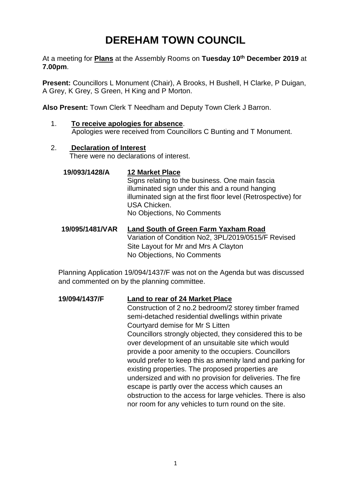# **DEREHAM TOWN COUNCIL**

At a meeting for **Plans** at the Assembly Rooms on **Tuesday 10th December 2019** at **7.00pm**.

**Present:** Councillors L Monument (Chair), A Brooks, H Bushell, H Clarke, P Duigan, A Grey, K Grey, S Green, H King and P Morton.

**Also Present:** Town Clerk T Needham and Deputy Town Clerk J Barron.

- 1. **To receive apologies for absence**. Apologies were received from Councillors C Bunting and T Monument.
- 2. **Declaration of Interest** There were no declarations of interest.

### **19/093/1428/A 12 Market Place**

Signs relating to the business. One main fascia illuminated sign under this and a round hanging illuminated sign at the first floor level (Retrospective) for USA Chicken. No Objections, No Comments

#### **19/095/1481/VAR Land South of Green Farm Yaxham Road** Variation of Condition No2, 3PL/2019/0515/F Revised Site Layout for Mr and Mrs A Clayton No Objections, No Comments

Planning Application 19/094/1437/F was not on the Agenda but was discussed and commented on by the planning committee.

#### **19/094/1437/F Land to rear of 24 Market Place**

Construction of 2 no.2 bedroom/2 storey timber framed semi-detached residential dwellings within private Courtyard demise for Mr S Litten Councillors strongly objected, they considered this to be over development of an unsuitable site which would provide a poor amenity to the occupiers. Councillors would prefer to keep this as amenity land and parking for existing properties. The proposed properties are undersized and with no provision for deliveries. The fire escape is partly over the access which causes an obstruction to the access for large vehicles. There is also nor room for any vehicles to turn round on the site.